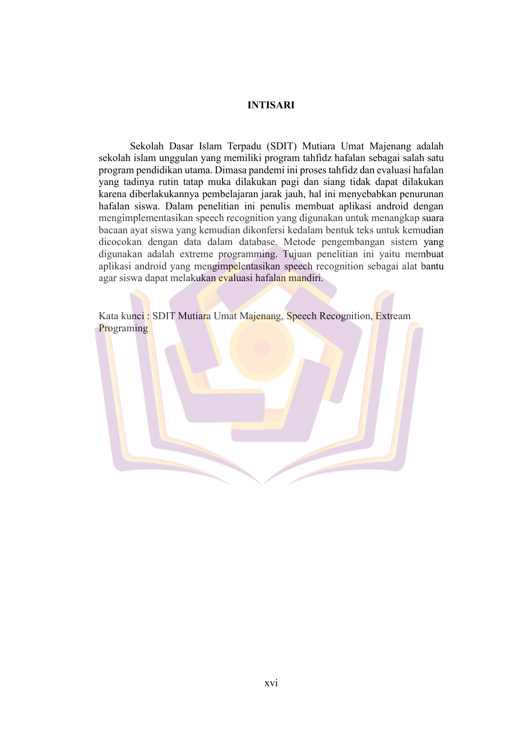## **INTISARI**

Sekolah Dasar Islam Terpadu (SDIT) Mutiara Umat Majenang adalah sekolah islam unggulan yang memiliki program tahfidz hafalan sebagai salah satu program pendidikan utama. Dimasa pandemi ini proses tahfidz dan evaluasi hafalan yang tadinya rutin tatap muka dilakukan pagi dan siang tidak dapat dilakukan karena diberlakukannya pembelajaran jarak jauh, hal ini menyebabkan penurunan hafalan siswa. Dalam penelitian ini penulis membuat aplikasi android dengan mengimplementasikan speech recognition yang digunakan untuk menangkap suara bacaan ayat siswa yang kemudian dikonfersi kedalam bentuk teks untuk kemudian dicocokan dengan data dalam database. Metode pengembangan sistem yang digunakan adalah extreme programming. Tujuan penelitian ini yaitu membuat aplikasi android yang mengimpelentasikan speech recognition sebagai alat bantu agar siswa dapat melakukan evaluasi hafalan mandiri.

Kata kunci: SDIT Mutiara Umat Majenang, Speech Recognition, Extream Programing